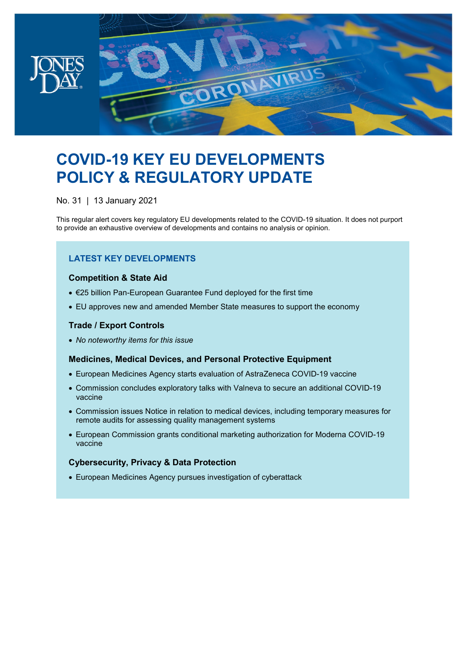

# **COVID-19 KEY EU DEVELOPMENTS POLICY & REGULATORY UPDATE**

No. 31 | 13 January 2021

This regular alert covers key regulatory EU developments related to the COVID-19 situation. It does not purport to provide an exhaustive overview of developments and contains no analysis or opinion.

### **LATEST KEY DEVELOPMENTS**

#### **Competition & State Aid**

- €25 billion Pan-European Guarantee Fund deployed for the first time
- EU approves new and amended Member State measures to support the economy

#### **Trade / Export Controls**

• *No noteworthy items for this issue*

#### **Medicines, Medical Devices, and Personal Protective Equipment**

- European Medicines Agency starts evaluation of AstraZeneca COVID-19 vaccine
- Commission concludes exploratory talks with Valneva to secure an additional COVID-19 vaccine
- Commission issues Notice in relation to medical devices, including temporary measures for remote audits for assessing quality management systems
- European Commission grants conditional marketing authorization for Moderna COVID-19 vaccine

#### **Cybersecurity, Privacy & Data Protection**

• European Medicines Agency pursues investigation of cyberattack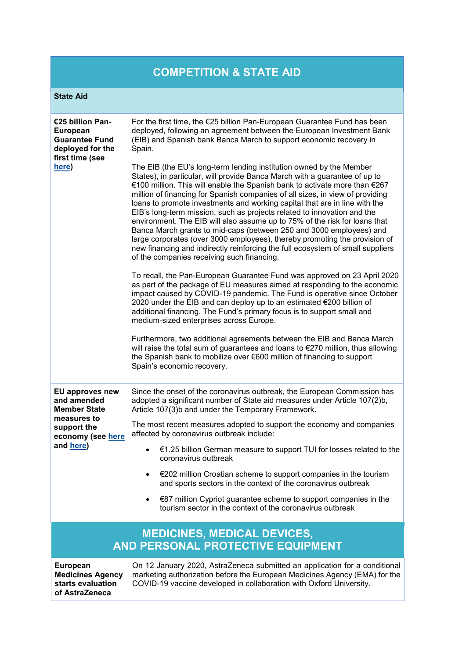## **COMPETITION & STATE AID**

#### **State Aid**

| €25 billion Pan-<br><b>European</b><br><b>Guarantee Fund</b><br>deployed for the<br>first time (see<br>here)                 | For the first time, the €25 billion Pan-European Guarantee Fund has been<br>deployed, following an agreement between the European Investment Bank<br>(EIB) and Spanish bank Banca March to support economic recovery in<br>Spain.                                                                                                                                                                                                                                                                                                                                                                                                                                                                                                                                                                                                            |
|------------------------------------------------------------------------------------------------------------------------------|----------------------------------------------------------------------------------------------------------------------------------------------------------------------------------------------------------------------------------------------------------------------------------------------------------------------------------------------------------------------------------------------------------------------------------------------------------------------------------------------------------------------------------------------------------------------------------------------------------------------------------------------------------------------------------------------------------------------------------------------------------------------------------------------------------------------------------------------|
|                                                                                                                              | The EIB (the EU's long-term lending institution owned by the Member<br>States), in particular, will provide Banca March with a guarantee of up to<br>€100 million. This will enable the Spanish bank to activate more than €267<br>million of financing for Spanish companies of all sizes, in view of providing<br>loans to promote investments and working capital that are in line with the<br>EIB's long-term mission, such as projects related to innovation and the<br>environment. The EIB will also assume up to 75% of the risk for loans that<br>Banca March grants to mid-caps (between 250 and 3000 employees) and<br>large corporates (over 3000 employees), thereby promoting the provision of<br>new financing and indirectly reinforcing the full ecosystem of small suppliers<br>of the companies receiving such financing. |
|                                                                                                                              | To recall, the Pan-European Guarantee Fund was approved on 23 April 2020<br>as part of the package of EU measures aimed at responding to the economic<br>impact caused by COVID-19 pandemic. The Fund is operative since October<br>2020 under the EIB and can deploy up to an estimated €200 billion of<br>additional financing. The Fund's primary focus is to support small and<br>medium-sized enterprises across Europe.                                                                                                                                                                                                                                                                                                                                                                                                                |
|                                                                                                                              | Furthermore, two additional agreements between the EIB and Banca March<br>will raise the total sum of guarantees and loans to €270 million, thus allowing<br>the Spanish bank to mobilize over €600 million of financing to support<br>Spain's economic recovery.                                                                                                                                                                                                                                                                                                                                                                                                                                                                                                                                                                            |
| <b>EU approves new</b><br>and amended<br><b>Member State</b><br>measures to<br>support the<br>economy (see here<br>and here) | Since the onset of the coronavirus outbreak, the European Commission has<br>adopted a significant number of State aid measures under Article 107(2)b,<br>Article 107(3)b and under the Temporary Framework.                                                                                                                                                                                                                                                                                                                                                                                                                                                                                                                                                                                                                                  |
|                                                                                                                              | The most recent measures adopted to support the economy and companies<br>affected by coronavirus outbreak include:                                                                                                                                                                                                                                                                                                                                                                                                                                                                                                                                                                                                                                                                                                                           |
|                                                                                                                              | €1.25 billion German measure to support TUI for losses related to the<br>$\bullet$<br>coronavirus outbreak                                                                                                                                                                                                                                                                                                                                                                                                                                                                                                                                                                                                                                                                                                                                   |
|                                                                                                                              | €202 million Croatian scheme to support companies in the tourism<br>and sports sectors in the context of the coronavirus outbreak                                                                                                                                                                                                                                                                                                                                                                                                                                                                                                                                                                                                                                                                                                            |
|                                                                                                                              | €87 million Cypriot guarantee scheme to support companies in the<br>$\bullet$<br>tourism sector in the context of the coronavirus outbreak                                                                                                                                                                                                                                                                                                                                                                                                                                                                                                                                                                                                                                                                                                   |
|                                                                                                                              | <b>MEDICINES, MEDICAL DEVICES,</b>                                                                                                                                                                                                                                                                                                                                                                                                                                                                                                                                                                                                                                                                                                                                                                                                           |
|                                                                                                                              | AND PERSONAL PROTECTIVE EQUIPMENT                                                                                                                                                                                                                                                                                                                                                                                                                                                                                                                                                                                                                                                                                                                                                                                                            |
| <b>European</b><br><b>Medicines Agency</b><br>starts evaluation<br>of AstraZeneca                                            | On 12 January 2020, AstraZeneca submitted an application for a conditional<br>marketing authorization before the European Medicines Agency (EMA) for the<br>COVID-19 vaccine developed in collaboration with Oxford University.                                                                                                                                                                                                                                                                                                                                                                                                                                                                                                                                                                                                              |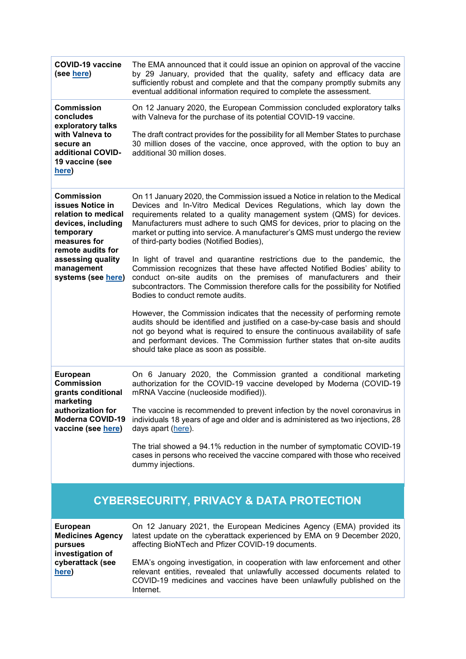| <b>COVID-19 vaccine</b><br>(see here)                                                                                                                                          | The EMA announced that it could issue an opinion on approval of the vaccine<br>by 29 January, provided that the quality, safety and efficacy data are<br>sufficiently robust and complete and that the company promptly submits any<br>eventual additional information required to complete the assessment.                                                                                                                                                                                                                                                                                        |
|--------------------------------------------------------------------------------------------------------------------------------------------------------------------------------|----------------------------------------------------------------------------------------------------------------------------------------------------------------------------------------------------------------------------------------------------------------------------------------------------------------------------------------------------------------------------------------------------------------------------------------------------------------------------------------------------------------------------------------------------------------------------------------------------|
| <b>Commission</b><br>concludes<br>exploratory talks<br>with Valneva to<br>secure an<br>additional COVID-<br>19 vaccine (see<br>here)                                           | On 12 January 2020, the European Commission concluded exploratory talks<br>with Valneva for the purchase of its potential COVID-19 vaccine.<br>The draft contract provides for the possibility for all Member States to purchase<br>30 million doses of the vaccine, once approved, with the option to buy an<br>additional 30 million doses.                                                                                                                                                                                                                                                      |
| <b>Commission</b><br><b>issues Notice in</b><br>relation to medical<br>devices, including<br>temporary<br>measures for<br>remote audits for<br>assessing quality<br>management | On 11 January 2020, the Commission issued a Notice in relation to the Medical<br>Devices and In-Vitro Medical Devices Regulations, which lay down the<br>requirements related to a quality management system (QMS) for devices.<br>Manufacturers must adhere to such QMS for devices, prior to placing on the<br>market or putting into service. A manufacturer's QMS must undergo the review<br>of third-party bodies (Notified Bodies),<br>In light of travel and quarantine restrictions due to the pandemic, the<br>Commission recognizes that these have affected Notified Bodies' ability to |
| systems (see here)                                                                                                                                                             | conduct on-site audits on the premises of manufacturers and their<br>subcontractors. The Commission therefore calls for the possibility for Notified<br>Bodies to conduct remote audits.<br>However, the Commission indicates that the necessity of performing remote<br>audits should be identified and justified on a case-by-case basis and should<br>not go beyond what is required to ensure the continuous availability of safe<br>and performant devices. The Commission further states that on-site audits<br>should take place as soon as possible.                                       |
| <b>European</b><br><b>Commission</b><br>grants conditional<br>marketing<br>authorization for<br><b>Moderna COVID-19</b><br>vaccine (see here)                                  | On 6 January 2020, the Commission granted a conditional marketing<br>authorization for the COVID-19 vaccine developed by Moderna (COVID-19<br>mRNA Vaccine (nucleoside modified)).<br>The vaccine is recommended to prevent infection by the novel coronavirus in<br>individuals 18 years of age and older and is administered as two injections, 28<br>days apart (here).<br>The trial showed a 94.1% reduction in the number of symptomatic COVID-19<br>cases in persons who received the vaccine compared with those who received<br>dummy injections.                                          |
| <b>CYBERSECURITY, PRIVACY &amp; DATA PROTECTION</b>                                                                                                                            |                                                                                                                                                                                                                                                                                                                                                                                                                                                                                                                                                                                                    |
| <b>European</b><br><b>Medicines Agency</b><br>pursues<br>investigation of<br>cyberattack (see<br>here)                                                                         | On 12 January 2021, the European Medicines Agency (EMA) provided its<br>latest update on the cyberattack experienced by EMA on 9 December 2020,<br>affecting BioNTech and Pfizer COVID-19 documents.<br>EMA's ongoing investigation, in cooperation with law enforcement and other                                                                                                                                                                                                                                                                                                                 |
|                                                                                                                                                                                | relevant entities, revealed that unlawfully accessed documents related to<br>COVID-19 medicines and vaccines have been unlawfully published on the<br>Internet.                                                                                                                                                                                                                                                                                                                                                                                                                                    |